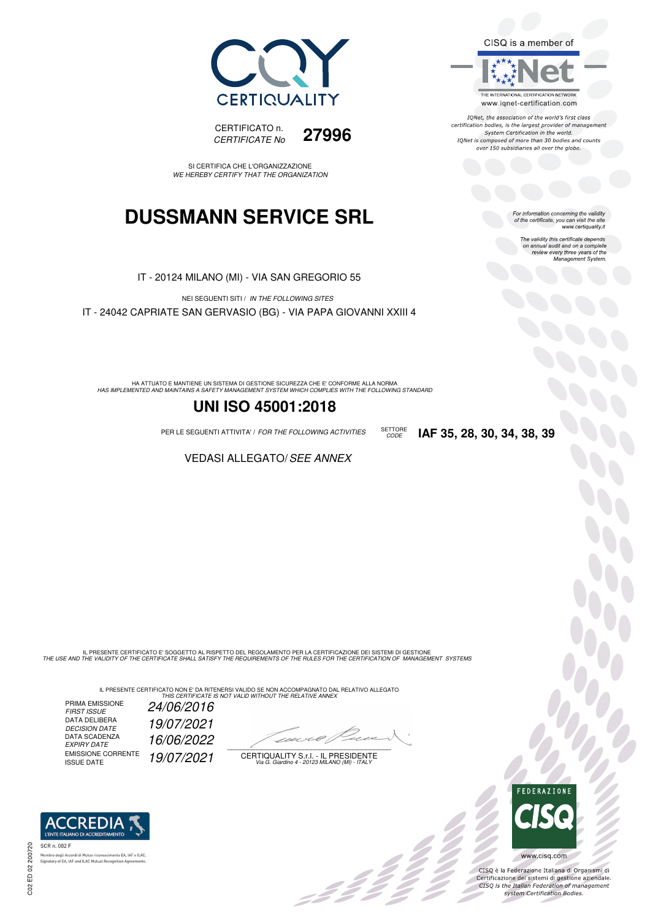CISQ is a member of



IONet, the association of the world's first class certification bodies, is the largest provider of management System Certification in the world. IQNet is composed of more than 30 bodies and counts over 150 subsidiaries all over the globe.

*CODE* **IAF 35, 28, 30, 34, 38, 39**

For information concerning the validity<br>of the certificate, you can visit the site<br>www.certiquality.it

The validity this certificate depends on annual audit and on a complete review every three years of the Management System





SI CERTIFICA CHE L'ORGANIZZAZIONE *WE HEREBY CERTIFY THAT THE ORGANIZATION*

## **DUSSMANN SERVICE SRL**

IT - 20124 MILANO (MI) - VIA SAN GREGORIO 55

NEI SEGUENTI SITI / *IN THE FOLLOWING SITES* IT - 24042 CAPRIATE SAN GERVASIO (BG) - VIA PAPA GIOVANNI XXIII 4

HA ATTUATO E MANTIENE UN SISTEMA DI GESTIONE SICUREZZA CHE E' CONFORME ALLA NORMA<br>HAS IMPLEMENTED AND MAINTAINS A SAFETY MANAGEMENT SYSTEM WHICH COMPLIES WITH THE FOLLOWING STANDARD

#### **UNI ISO 45001:2018**

PER LE SEGUENTI ATTIVITA' / *FOR THE FOLLOWING ACTIVITIES* SETTORE

VEDASI ALLEGATO/*SEE ANNEX*

IL PRESENTE CERTIFICATO E' SOGGETTO AL RISPETTO DEL REGOLAMENTO PER LA CERTIFICAZIONE DEI SISTEMI DI GESTIONE<br>THE USE AND THE VALIDITY OF THE CERTIFICATE SHALL SATISFY THE REQUIREMENTS OF THE RULES FOR THE CERTIFICATION OF

IL PRESENTE CERTIFICATO NON E' DA RITENERSI VALIDO SE NON ACCOMPAGNATO DAL RELATIVO ALLEGATO<br>*THIS CERTIFICATE IS NOT VALID WITHOUT THE RELATIVE ANNEX* 

PRIMA EMISSIONE *FIRST ISSUE 24/06/2016* DATA DELIBERA *DECISION DATE 19/07/2021* DECISION DATE<br>DATA SCADENZA<br>EXPIRY DATE *EXPIRY DATE 16/06/2022* EMISSIONE CORRENTE<br>ISSUE DATE ISSUE DATE *19/07/2021*

 $\overline{\phantom{a}}$ 

CERTIQUALITY S.r.l. - IL PRESIDENTE *Via G. Giardino 4 - 20123 MILANO (MI) - ITALY*

-2222



 $\frac{1}{2}$ 

CISQ è la Federazione Italiana di Organismi di Certificazione dei sistemi di gestione aziendale.<br>CISQ is the Italian Federation of management system Certification Bodies.



nento EA, IAF e ILAC Membro degli Accordi di Mutuo riconoscimento EA, IAF<br>Signatory of EA, IAF and ILAC Mutual Recognition Agree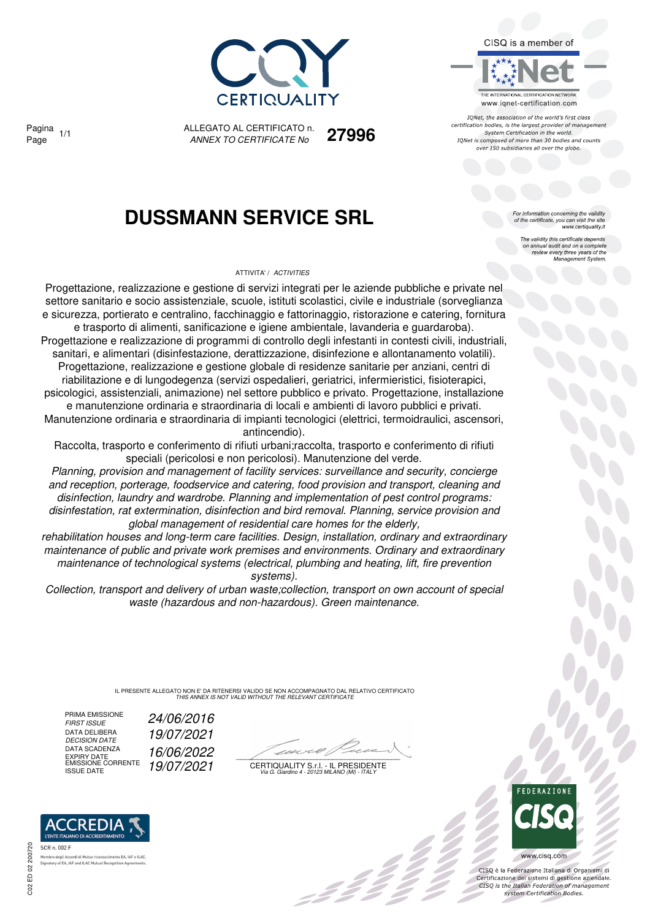

CISQ is a member of

www.iqnet-certification.com

IONet, the association of the world's first class certification bodies, is the largest provider of management System Certification in the world. IQNet is composed of more than 30 bodies and counts over 150 subsidiaries all over the globe.

For information concerning the validity<br>of the certificate, you can visit the site<br>www.certiquality.it

The validity this certificate depends on annual audit and on a complete review every three years of the Management System.



ALLEGATO AL CERTIFICATO n. *ANNEX TO CERTIFICATE No* Page 1/1 **27996**

## **DUSSMANN SERVICE SRL**

#### ATTIVITA' / *ACTIVITIES*

Progettazione, realizzazione e gestione di servizi integrati per le aziende pubbliche e private nel settore sanitario e socio assistenziale, scuole, istituti scolastici, civile e industriale (sorveglianza e sicurezza, portierato e centralino, facchinaggio e fattorinaggio, ristorazione e catering, fornitura e trasporto di alimenti, sanificazione e igiene ambientale, lavanderia e guardaroba). Progettazione e realizzazione di programmi di controllo degli infestanti in contesti civili, industriali, sanitari, e alimentari (disinfestazione, derattizzazione, disinfezione e allontanamento volatili). Progettazione, realizzazione e gestione globale di residenze sanitarie per anziani, centri di riabilitazione e di lungodegenza (servizi ospedalieri, geriatrici, infermieristici, fisioterapici, psicologici, assistenziali, animazione) nel settore pubblico e privato. Progettazione, installazione e manutenzione ordinaria e straordinaria di locali e ambienti di lavoro pubblici e privati. Manutenzione ordinaria e straordinaria di impianti tecnologici (elettrici, termoidraulici, ascensori, antincendio).

Raccolta, trasporto e conferimento di rifiuti urbani;raccolta, trasporto e conferimento di rifiuti speciali (pericolosi e non pericolosi). Manutenzione del verde.

*Planning, provision and management of facility services: surveillance and security, concierge and reception, porterage, foodservice and catering, food provision and transport, cleaning and disinfection, laundry and wardrobe. Planning and implementation of pest control programs: disinfestation, rat extermination, disinfection and bird removal. Planning, service provision and global management of residential care homes for the elderly,*

*rehabilitation houses and long-term care facilities. Design, installation, ordinary and extraordinary maintenance of public and private work premises and environments. Ordinary and extraordinary maintenance of technological systems (electrical, plumbing and heating, lift, fire prevention systems).*

*Collection, transport and delivery of urban waste;collection, transport on own account of special waste (hazardous and non-hazardous). Green maintenance.*

> IL PRESENTE ALLEGATO NON E' DA RITENERSI VALIDO SE NON ACCOMPAGNATO DAL RELATIVO CERTIFICATO *THIS ANNEX IS NOT VALID WITHOUT THE RELEVANT CERTIFICATE*

PRIMA EMISSIONE<br>FIRST ISSUE DATA DELIBERA<br>DECISION DATE DATA SCADENZA DATA SCADENZA **16/06/2022**<br>EXPIRY DATE<br>EMISSIONE CORRENTE 19/07/2021

**REDIA** 

atory of EA, IAF and ILAC Mutual Recog

nto EA. IAF e ILAC

ACC

 $SCR n 002F$ 

*FIRST ISSUE 24/06/2016 DECISION DATE 19/07/2021*

:22

CERTIQUALITY S.r.l. - IL PRESIDENTE EMISSIONE CORRENTE ISSUE DATE *19/07/2021 Via G. Giardino 4 - 20123 MILANO (MI) - ITALY*



 $\frac{1}{2}$ 

CISQ è la Federazione Italiana di Organismi di Certificazione dei sistemi di gestione aziendale.<br>CISQ is the Italian Federation of management system Certification Bodies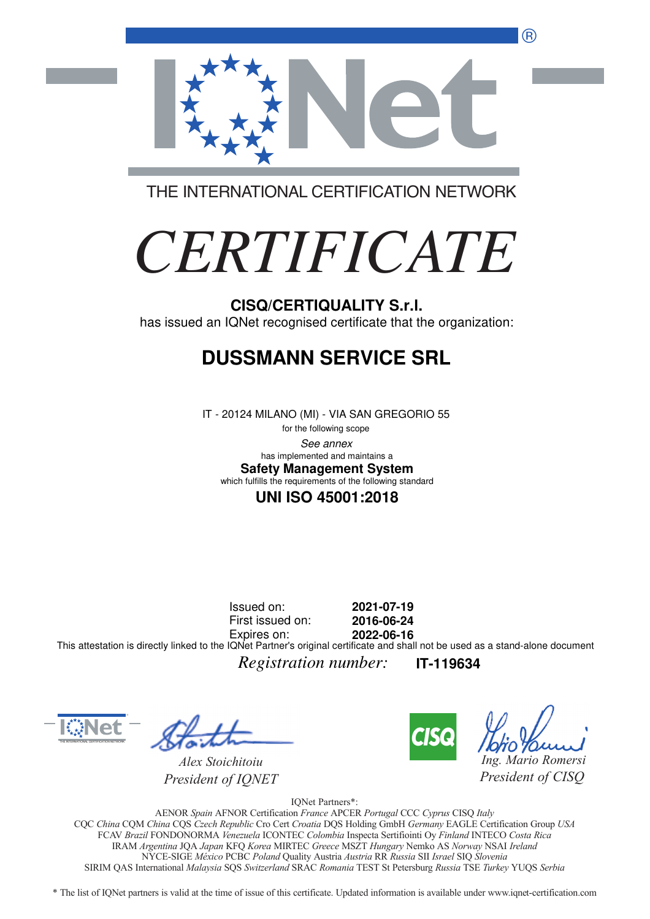®



THE INTERNATIONAL CERTIFICATION NETWORK

# *CERTIFICATE*

#### **CISQ/CERTIQUALITY S.r.l.**

has issued an IQNet recognised certificate that the organization:

## **DUSSMANN SERVICE SRL**

IT - 20124 MILANO (MI) - VIA SAN GREGORIO 55

for the following scope See annex **Safety Management System** has implemented and maintains a which fulfills the requirements of the following standard

#### **UNI ISO 45001:2018**

Issued on: First issued on: Expires on: **2021-07-19 2016-06-24 2022-06-16** This attestation is directly linked to the IQNet Partner's original certificate and shall not be used as a stand-alone document

*Registration number:* **IT-119634**



*Alex Stoichitoiu President of IQNET*



*Ing. Mario Romersi*

*President of CISQ* 

IQNet Partners\*:

AENOR *Spain* AFNOR Certification *France* APCER *Portugal* CCC *Cyprus* CISQ *Italy* CQC *China* CQM *China* CQS *Czech Republic* Cro Cert *Croatia* DQS Holding GmbH *Germany* EAGLE Certification Group *USA* FCAV *Brazil* FONDONORMA *Venezuela* ICONTEC *Colombia* Inspecta Sertifiointi Oy *Finland* INTECO *Costa Rica* IRAM *Argentina* JQA *Japan* KFQ *Korea* MIRTEC *Greece* MSZT *Hungary* Nemko AS *Norway* NSAI *Ireland* NYCE-SIGE *México* PCBC *Poland* Quality Austria *Austria* RR *Russia* SII *Israel* SIQ *Slovenia* SIRIM QAS International *Malaysia* SQS *Switzerland* SRAC *Romania* TEST St Petersburg *Russia* TSE *Turkey* YUQS *Serbia*

\* The list of IQNet partners is valid at the time of issue of this certificate. Updated information is available under www.iqnet-certification.com